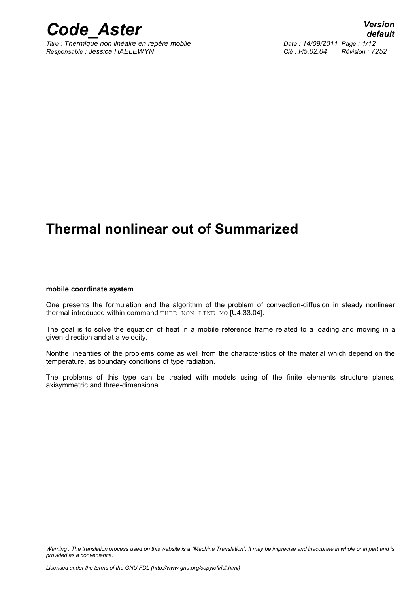

*Titre : Thermique non linéaire en repère mobile Date : 14/09/2011 Page : 1/12 Responsable : Jessica HAELEWYN Clé : R5.02.04 Révision : 7252*

### **Thermal nonlinear out of Summarized**

#### **mobile coordinate system**

One presents the formulation and the algorithm of the problem of convection-diffusion in steady nonlinear thermal introduced within command THER\_NON\_LINE\_MO [U4.33.04].

The goal is to solve the equation of heat in a mobile reference frame related to a loading and moving in a given direction and at a velocity.

Nonthe linearities of the problems come as well from the characteristics of the material which depend on the temperature, as boundary conditions of type radiation.

The problems of this type can be treated with models using of the finite elements structure planes, axisymmetric and three-dimensional.

*Warning : The translation process used on this website is a "Machine Translation". It may be imprecise and inaccurate in whole or in part and is provided as a convenience.*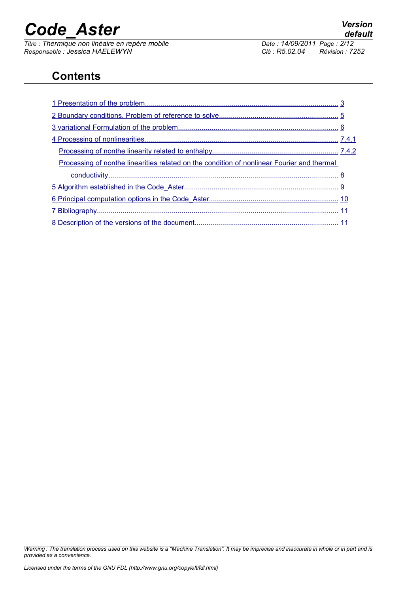*Titre : Thermique non linéaire en repère mobile Date : 14/09/2011 Page : 2/12 Responsable : Jessica HAELEWYN Clé : R5.02.04 Révision : 7252*

### **Contents**

| Processing of nonthe linearities related on the condition of nonlinear Fourier and thermal |  |
|--------------------------------------------------------------------------------------------|--|
|                                                                                            |  |
|                                                                                            |  |
|                                                                                            |  |
|                                                                                            |  |
|                                                                                            |  |

*Warning : The translation process used on this website is a "Machine Translation". It may be imprecise and inaccurate in whole or in part and is provided as a convenience.*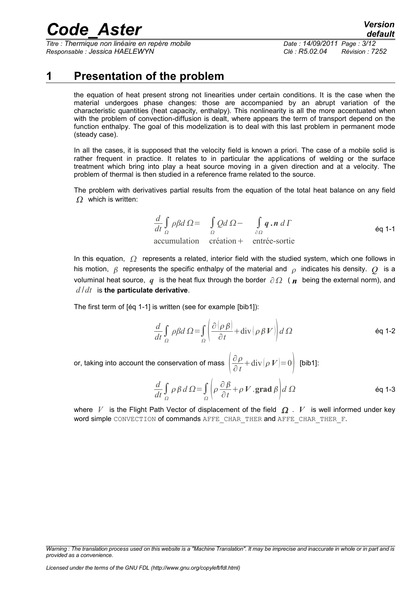*Titre : Thermique non linéaire en repère mobile Date : 14/09/2011 Page : 3/12 Responsable : Jessica HAELEWYN Clé : R5.02.04 Révision : 7252*

*default*

### **1 Presentation of the problem**

<span id="page-2-0"></span>the equation of heat present strong not linearities under certain conditions. It is the case when the material undergoes phase changes: those are accompanied by an abrupt variation of the characteristic quantities (heat capacity, enthalpy). This nonlinearity is all the more accentuated when with the problem of convection-diffusion is dealt, where appears the term of transport depend on the function enthalpy. The goal of this modelization is to deal with this last problem in permanent mode (steady case).

In all the cases, it is supposed that the velocity field is known a priori. The case of a mobile solid is rather frequent in practice. It relates to in particular the applications of welding or the surface treatment which bring into play a heat source moving in a given direction and at a velocity. The problem of thermal is then studied in a reference frame related to the source.

The problem with derivatives partial results from the equation of the total heat balance on any field  $\Omega$  which is written:

$$
\frac{d}{dt} \int_{\Omega} \rho \beta d \Omega = \int_{\Omega} Qd \Omega - \int_{\partial \Omega} \boldsymbol{q} \cdot \boldsymbol{n} d \Gamma
$$
\n  
\naccumulation  $\text{création} + \text{entrée-sortie}$ 

In this equation,  $\Omega$  represents a related, interior field with the studied system, which one follows in his motion,  $\beta$  represents the specific enthalpy of the material and  $\beta$  indicates his density.  $\beta$  is a voluminal heat source, *q* is the heat flux through the border ∂ ( *n* being the external norm), and *d* /*dt* is **the particulate derivative**.

The first term of [éq 1-1] is written (see for example [bib1]):

$$
\frac{d}{dt} \int_{\Omega} \rho \beta d\Omega = \int_{\Omega} \left( \frac{\partial (\rho \beta)}{\partial t} + \text{div} (\rho \beta V) \right) d\Omega
$$
 eq 1-2

or, taking into account the conservation of mass  $\left|\frac{\partial \rho}{\partial t}\right|$  $\frac{\partial P}{\partial t} + \text{div}\left(\rho V\right) = 0$  [bib1]:

$$
\frac{d}{dt} \int_{\Omega} \rho \beta \, d\Omega = \int_{\Omega} \left( \rho \, \frac{\partial \beta}{\partial t} + \rho \, V \cdot \mathbf{grad} \, \beta \right) d\Omega \tag{41-3}
$$

where  $V$  is the Flight Path Vector of displacement of the field  $\Omega$ .  $V$  is well informed under key word simple CONVECTION of commands AFFE\_CHAR\_THER and AFFE\_CHAR\_THER\_F.

*Warning : The translation process used on this website is a "Machine Translation". It may be imprecise and inaccurate in whole or in part and is provided as a convenience.*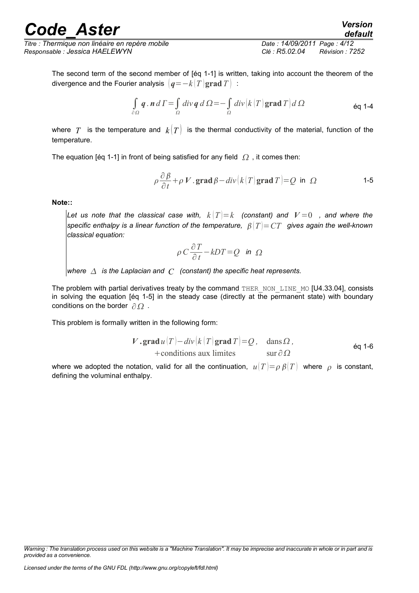*Titre : Thermique non linéaire en repère mobile Date : 14/09/2011 Page : 4/12 Responsable : Jessica HAELEWYN Clé : R5.02.04 Révision : 7252*

The second term of the second member of [éq 1-1] is written, taking into account the theorem of the divergence and the Fourier analysis  $q = -k/T$  grad  $T$  :

$$
\int_{\partial\Omega} \mathbf{q} \cdot \mathbf{n} \, d\Gamma = \int_{\Omega} \operatorname{div} \mathbf{q} \, d\Omega = -\int_{\Omega} \operatorname{div} \left(k \left(T\right) \mathbf{grad} \, T\right) d\Omega \tag{6q 1-4}
$$

where  $T$  is the temperature and  $k(T)$  is the thermal conductivity of the material, function of the temperature.

The equation [éq 1-1] in front of being satisfied for any field  $\Omega$ , it comes then:

$$
\rho \frac{\partial \beta}{\partial t} + \rho V . \text{grad} \beta - \text{div} (k(T) \text{grad } T) = Q \text{ in } \Omega \tag{1-5}
$$

**Note::**

Let us note that the classical case with,  $k|T| = k$  (constant) and  $V = 0$  , and where the *specific enthalpy is a linear function of the temperature,*  $\beta$   $|T|$  =  $CT$  gives again the well-known *classical equation:*

$$
\rho C \frac{\partial T}{\partial t} - kDT = Q \quad \text{in} \ \ \Omega
$$

*where is the Laplacian and C (constant) the specific heat represents.*

The problem with partial derivatives treaty by the command THER\_NON\_LINE\_MO [U4.33.04], consists in solving the equation [éq 1-5] in the steady case (directly at the permanent state) with boundary conditions on the border  $\partial \Omega$ .

This problem is formally written in the following form:

$$
V.\text{grad } u(T) - div(k|T)\text{grad } T) = Q, \quad \text{dans } \Omega, + \text{conditions aux limites} \qquad \text{sur } \partial \Omega \qquad \text{eq 1-6}
$$

where we adopted the notation, valid for all the continuation,  $u(T) = \rho \beta(T)$  where  $\rho$  is constant, defining the voluminal enthalpy.

*Warning : The translation process used on this website is a "Machine Translation". It may be imprecise and inaccurate in whole or in part and is provided as a convenience.*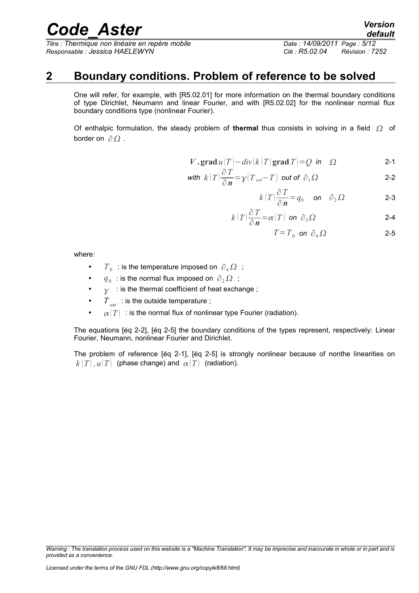*Titre : Thermique non linéaire en repère mobile Date : 14/09/2011 Page : 5/12 Responsable : Jessica HAELEWYN Clé : R5.02.04 Révision : 7252*

#### **2 Boundary conditions. Problem of reference to be solved**

<span id="page-4-0"></span>One will refer, for example, with [R5.02.01] for more information on the thermal boundary conditions of type Dirichlet, Neumann and linear Fourier, and with [R5.02.02] for the nonlinear normal flux boundary conditions type (nonlinear Fourier).

Of enthalpic formulation, the steady problem of **thermal** thus consists in solving in a field  $\Omega$  of border on ∂ *.*

$$
V.\mathbf{grad}\,u(T)-div(k(T)\mathbf{grad}\,T)=Q\text{ in }\Omega
$$

with 
$$
k(T)\frac{\partial T}{\partial n} = \gamma (T_{ext} - T)
$$
 out of  $\partial_1 \Omega$  2-2

$$
k(T)\frac{\partial T}{\partial n} = q_0 \quad \text{on} \quad \partial_2 \Omega \tag{2-3}
$$

$$
k(T)\frac{\partial T}{\partial n} = \alpha(T) \text{ on } \partial_3 \Omega
$$
 2-4

$$
T = T_0 \text{ on } \partial_4 \Omega \qquad \qquad 2-5
$$

where:

- $T_0$ : is the temperature imposed on  $\partial_4 \Omega$ ;
- *q*<sub>0</sub>: is the normal flux imposed on  $\partial_2 \Omega$ ;
- $\gamma$  : is the thermal coefficient of heat exchange;
- *T*<sub>*ext*</sub> : is the outside temperature ;
- $\alpha(T)$ : is the normal flux of nonlinear type Fourier (radiation).

The equations [éq 2-2], [éq 2-5] the boundary conditions of the types represent, respectively: Linear Fourier, Neumann, nonlinear Fourier and Dirichlet.

The problem of reference [éq 2-1], [éq 2-5] is strongly nonlinear because of nonthe linearities on  $k(T)$ ,  $u(T)$  (phase change) and  $\alpha(T)$  (radiation).

*Warning : The translation process used on this website is a "Machine Translation". It may be imprecise and inaccurate in whole or in part and is provided as a convenience.*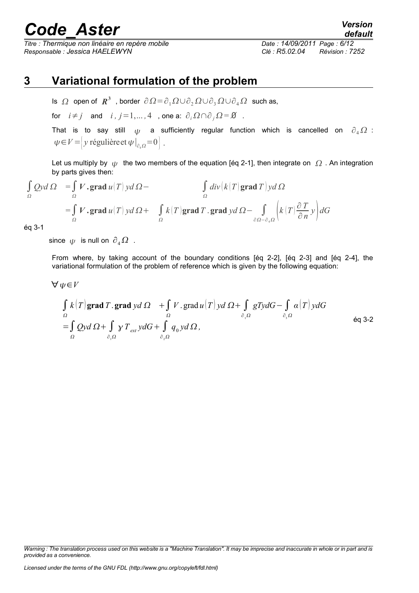*Titre : Thermique non linéaire en repère mobile Date : 14/09/2011 Page : 6/12 Responsable : Jessica HAELEWYN Clé : R5.02.04 Révision : 7252*

### **3 Variational formulation of the problem**

<span id="page-5-0"></span>Is  $\Omega$  open of  $\mathbb{R}^3$ , border  $\partial \Omega = \partial_1 \Omega \cup \partial_2 \Omega \cup \partial_3 \Omega \cup \partial_4 \Omega$  such as,

for 
$$
i \neq j
$$
 and  $i, j = 1, ..., 4$ , one a:  $\partial_i \Omega \cap \partial_j \Omega = \emptyset$ .

That is to say still  $\psi$  a sufficiently regular function which is cancelled on  $\partial_4 \Omega$ :  $\psi \in V = \left| y \right.$  régulière et  $\psi \big|_{\partial_4 \Omega} = 0 \right|$ .

Let us multiply by  $\psi$  the two members of the equation [éq 2-1], then integrate on  $\Omega$ . An integration by parts gives then:

$$
\int_{\Omega} Qy d\Omega = \int_{\Omega} V \cdot \mathbf{grad} \, u(T) \, y d\Omega - \int_{\Omega} div(k(T) \mathbf{grad} \, T) y d\Omega
$$
\n
$$
= \int_{\Omega} V \cdot \mathbf{grad} \, u(T) \, y d\Omega + \int_{\Omega} k(T) \mathbf{grad} \, T \cdot \mathbf{grad} \, y d\Omega - \int_{\partial \Omega - \partial_4 \Omega} \left( k(T) \frac{\partial T}{\partial n} y \right) dG
$$

éq 3-1

since  $\psi$  is null on  $\partial_4 \Omega$ .

From where, by taking account of the boundary conditions [éq 2-2], [éq 2-3] and [éq 2-4], the variational formulation of the problem of reference which is given by the following equation:

$$
\forall \psi \!\in\! V
$$

$$
\int_{\Omega} k(T) \mathbf{grad} \, T. \mathbf{grad} \, yd \, \Omega + \int_{\Omega} V. \mathbf{grad} \, u(T) \, yd \, \Omega + \int_{\partial_{1}\Omega} gT ydG - \int_{\partial_{3}\Omega} \alpha(T) \, ydG
$$
\n
$$
= \int_{\Omega} Qyd \, \Omega + \int_{\partial_{1}\Omega} yT_{ext} \, ydG + \int_{\partial_{2}\Omega} q_{0} \, yd \, \Omega,
$$
\n
$$
\qquad \qquad \text{Eq 3-2}
$$

*Warning : The translation process used on this website is a "Machine Translation". It may be imprecise and inaccurate in whole or in part and is provided as a convenience.*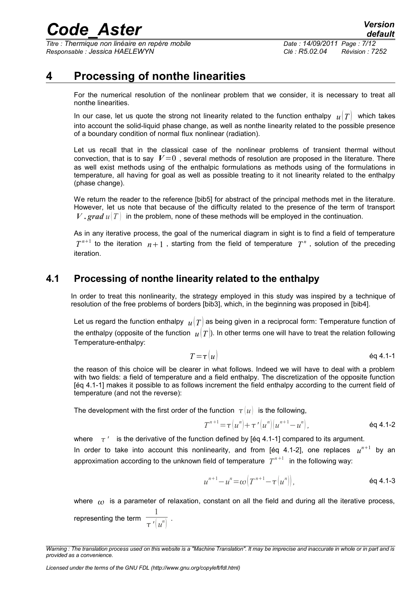*Titre : Thermique non linéaire en repère mobile Date : 14/09/2011 Page : 7/12 Responsable : Jessica HAELEWYN Clé : R5.02.04 Révision : 7252*

### **4 Processing of nonthe linearities**

<span id="page-6-1"></span>For the numerical resolution of the nonlinear problem that we consider, it is necessary to treat all nonthe linearities.

In our case, let us quote the strong not linearity related to the function enthalpy  $u(T)$  which takes into account the solid-liquid phase change, as well as nonthe linearity related to the possible presence of a boundary condition of normal flux nonlinear (radiation).

Let us recall that in the classical case of the nonlinear problems of transient thermal without convection, that is to say  $V=0$ , several methods of resolution are proposed in the literature. There as well exist methods using of the enthalpic formulations as methods using of the formulations in temperature, all having for goal as well as possible treating to it not linearity related to the enthalpy (phase change).

We return the reader to the reference [bib5] for abstract of the principal methods met in the literature. However, let us note that because of the difficulty related to the presence of the term of transport *V* **.**  $\boldsymbol{grad} \, u(T)$  in the problem, none of these methods will be employed in the continuation.

As in any iterative process, the goal of the numerical diagram in sight is to find a field of temperature  $T^{n+1}$  to the iteration  $n+1$ , starting from the field of temperature  $T^n$ , solution of the preceding iteration.

#### **4.1 Processing of nonthe linearity related to the enthalpy**

<span id="page-6-0"></span>In order to treat this nonlinearity, the strategy employed in this study was inspired by a technique of resolution of the free problems of borders [bib3], which, in the beginning was proposed in [bib4].

Let us regard the function enthalpy  $u(T)$  as being given in a reciprocal form: Temperature function of the enthalpy (opposite of the function  $u(T)$ ). In other terms one will have to treat the relation following Temperature-enthalpy:

$$
T = \tau(u) \tag{6q 4.1-1}
$$

the reason of this choice will be clearer in what follows. Indeed we will have to deal with a problem with two fields: a field of temperature and a field enthalpy. The discretization of the opposite function [éq 4.1-1] makes it possible to as follows increment the field enthalpy according to the current field of temperature (and not the reverse):

The development with the first order of the function  $\tau |u|$  is the following,

$$
T^{n+1} = \tau \left( u^n \right) + \tau' \left( u^n \right) \left( u^{n+1} - u^n \right),
$$

where  $\tau'$  is the derivative of the function defined by [éq 4.1-1] compared to its argument. In order to take into account this nonlinearity, and from [éq 4.1-2], one replaces  $u^{n+1}$  by an approximation according to the unknown field of temperature  $|T^{n+1}|$  in the following way:

$$
u^{n+1} - u^n = \omega \big( T^{n+1} - \tau \big( u^n \big) \big),
$$

where  $\omega$  is a parameter of relaxation, constant on all the field and during all the iterative process, representing the term 1  $\overline{\tau \sqrt{u^n}}$ .

*Warning : The translation process used on this website is a "Machine Translation". It may be imprecise and inaccurate in whole or in part and is provided as a convenience.*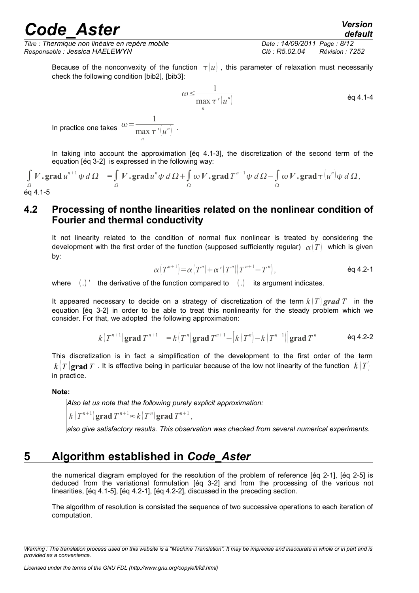*Titre : Thermique non linéaire en repère mobile Date : 14/09/2011 Page : 8/12 Responsable : Jessica HAELEWYN Clé : R5.02.04 Révision : 7252*

Because of the nonconvexity of the function  $\tau(u)$ , this parameter of relaxation must necessarily check the following condition [bib2], [bib3]:

$$
\omega \leq \frac{1}{\max_{n} \tau' (u^n)}
$$

In practice one takes  $\omega$  =  $\frac{1}{\max \tau' (u^n)}$ . *n*

In taking into account the approximation [éq 4.1-3], the discretization of the second term of the equation [éq 3-2] is expressed in the following way:

∫ Ω *V* • **grad**  $u^{n+1} \psi d\Omega = \int$ Ω *V* • grad  $u^n \psi d\Omega + \int$ Ω *ω V* **• grad**  $T^{n+1}$   $\psi$  *d* Ω −  $\int$ Ω  $\omega V$  **. grad**  $\tau (u^n) \psi d\Omega$ , éq 4.1-5

#### <span id="page-7-1"></span>**4.2 Processing of nonthe linearities related on the nonlinear condition of Fourier and thermal conductivity**

It not linearity related to the condition of normal flux nonlinear is treated by considering the development with the first order of the function (supposed sufficiently regular)  $\alpha$   $T$  which is given by:

$$
\alpha \big( T^{n+1} \big) = \alpha \big( T^n \big) + \alpha' \big( T^n \big) \big( T^{n+1} - T^n \big) ,
$$

where  $\left( \cdot \right)$  the derivative of the function compared to  $\left( \cdot \right)$  its argument indicates.

It appeared necessary to decide on a strategy of discretization of the term  $k/T$  *grad T* in the equation [éq 3-2] in order to be able to treat this nonlinearity for the steady problem which we consider. For that, we adopted the following approximation:

$$
k(T^{n+1})
$$
grad  $T^{n+1} = k(T^n)$ grad  $T^{n+1} - [k(T^n) - k(T^{n-1})]$ grad  $T^n$  6q 4.2-2

This discretization is in fact a simplification of the development to the first order of the term  $k$  *T* **grad** *T* . It is effective being in particular because of the low not linearity of the function  $k$  *T*) in practice.

#### **Note:**

*Also let us note that the following purely explicit approximation:*

$$
k(T^{n+1})
$$
grad  $T^{n+1} \approx k(T^n)$ grad  $T^{n+1}$ ,

*also give satisfactory results. This observation was checked from several numerical experiments.*

### **5 Algorithm established in** *Code\_Aster*

<span id="page-7-0"></span>the numerical diagram employed for the resolution of the problem of reference [éq 2-1], [éq 2-5] is deduced from the variational formulation [éq 3-2] and from the processing of the various not linearities, [éq 4.1-5], [éq 4.2-1], [éq 4.2-2], discussed in the preceding section.

The algorithm of resolution is consisted the sequence of two successive operations to each iteration of computation.

éq 4.1-4

*Warning : The translation process used on this website is a "Machine Translation". It may be imprecise and inaccurate in whole or in part and is provided as a convenience.*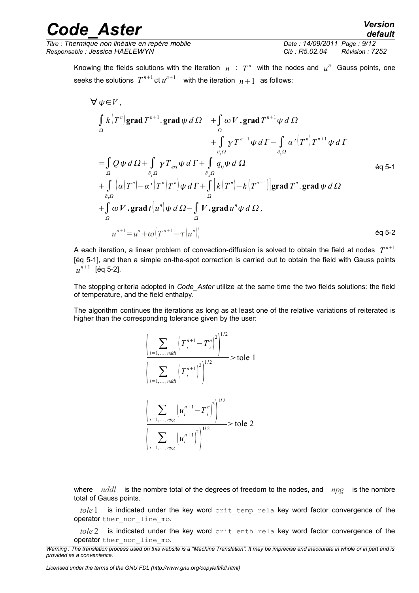*Titre : Thermique non linéaire en repère mobile Date : 14/09/2011 Page : 9/12 Responsable : Jessica HAELEWYN Clé : R5.02.04 Révision : 7252*

Knowing the fields solutions with the iteration  $n$  :  $T^n$  with the nodes and  $u^n$  Gauss points, one seeks the solutions  $\ T^{n+1}$  et  $u^{n+1}$ with the iteration  $n+1$  as follows:

$$
\nabla \psi \in V,
$$
\n
$$
\int_{\Omega} k(T^{n}) \operatorname{grad} T^{n+1} \cdot \operatorname{grad} \psi \, d\Omega + \int_{\Omega} \omega V \cdot \operatorname{grad} T^{n+1} \psi \, d\Omega
$$
\n
$$
+ \int_{\partial_{1}\Omega} \gamma T^{n+1} \psi \, d\Gamma - \int_{\partial_{1}\Omega} \alpha' (T^{n}) T^{n+1} \psi \, d\Gamma
$$
\n
$$
= \int_{\Omega} Q \psi \, d\Omega + \int_{\partial_{1}\Omega} \gamma T_{ext} \psi \, d\Gamma + \int_{\partial_{2}\Omega} q_{0} \psi \, d\Omega
$$
\n
$$
+ \int_{\partial_{1}\Omega} (\alpha(T^{n}) - \alpha' (T^{n}) T^{n}) \psi \, d\Gamma + \int_{\Omega} [k(T^{n}) - k (T^{n-1})] \operatorname{grad} T^{n} \cdot \operatorname{grad} \psi \, d\Omega
$$
\n
$$
+ \int_{\Omega} \omega V \cdot \operatorname{grad} t (u^{n}) \psi \, d\Omega - \int_{\Omega} V \cdot \operatorname{grad} u^{n} \psi \, d\Omega,
$$
\n
$$
u^{n+1} = u^{n} + \omega (T^{n+1} - \tau (u^{n}))
$$
\n
$$
\text{Eq 5-2}
$$

A each iteration, a linear problem of convection-diffusion is solved to obtain the field at nodes  $|T^{n+1}\rangle$ [éq 5-1], and then a simple on-the-spot correction is carried out to obtain the field with Gauss points  $u^{n+1}$  [éq 5-2].

The stopping criteria adopted in *Code\_Aster* utilize at the same time the two fields solutions: the field of temperature, and the field enthalpy.

The algorithm continues the iterations as long as at least one of the relative variations of reiterated is higher than the corresponding tolerance given by the user:

$$
\left(\sum_{i=1,\dots,odd} \left(T_i^{n+1} - T_i^n\right)^2\right)^{1/2} > \text{tole } 1
$$
  

$$
\left(\sum_{i=1,\dots,odd} \left(T_i^{n+1}\right)^2\right)^{1/2} > \text{tole } 1
$$
  

$$
\left(\sum_{i=1,\dots,ngg} \left(u_i^{n+1} - T_i^n\right)^2\right)^{1/2} > \text{tole } 2
$$
  

$$
\left(\sum_{i=1,\dots,ngg} \left(u_i^{n+1}\right)^2\right)^{1/2} > \text{tole } 2
$$

where *nddl* is the nombre total of the degrees of freedom to the nodes, and *npg* is the nombre total of Gauss points.

tole 1 is indicated under the key word crit temp rela key word factor convergence of the operator ther non line mo.

*tole* 2 is indicated under the key word crit enth rela key word factor convergence of the operator ther non line mo.

*Warning : The translation process used on this website is a "Machine Translation". It may be imprecise and inaccurate in whole or in part and is provided as a convenience.*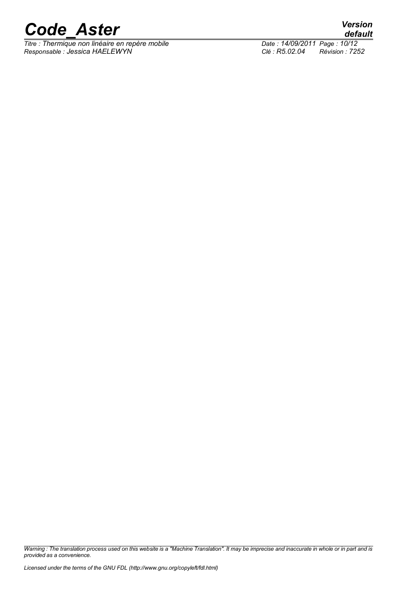

*Titre : Thermique non linéaire en repère mobile Date : 14/09/2011 Page : 10/12 Responsable : Jessica HAELEWYN Clé : R5.02.04 Révision : 7252*

*Warning : The translation process used on this website is a "Machine Translation". It may be imprecise and inaccurate in whole or in part and is provided as a convenience.*

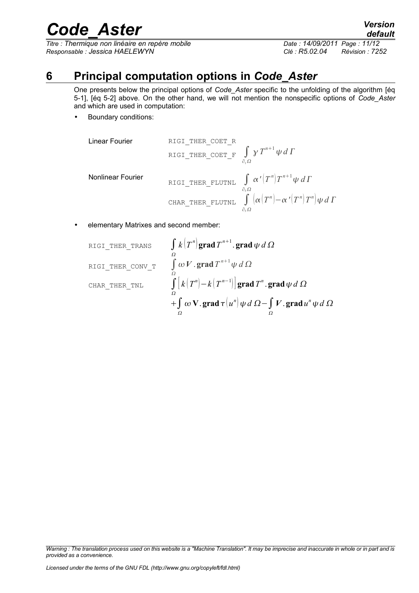*Titre : Thermique non linéaire en repère mobile Date : 14/09/2011 Page : 11/12 Responsable : Jessica HAELEWYN Clé : R5.02.04 Révision : 7252*

### **6 Principal computation options in** *Code\_Aster*

<span id="page-10-0"></span>One presents below the principal options of *Code\_Aster* specific to the unfolding of the algorithm [éq 5-1], [éq 5-2] above. On the other hand, we will not mention the nonspecific options of *Code\_Aster* and which are used in computation:

• Boundary conditions:

Linear Fourier **RIGI\_THER\_COET\_R** RIGI\_THER\_COET\_F ∫  $\partial_1\Omega$  $\gamma$ <sup>*T*<sup>*n*+1</sup></sub> $\psi$ *d Γ*</sup> Nonlinear Fourier RIGI\_THER\_FLUTNL ∫  $\partial_{3}\Omega$  $\alpha$ ' $(T^n)T^{n+1}\psi d\Gamma$ CHAR\_THER\_FLUTNL  $\int$  $\partial_{3}\Omega$  $\left[\alpha\left(T^{n}\right)-\alpha^{\prime}\left(T^{n}\right)T^{n}\right]\psi d\varGamma$ 

• elementary Matrixes and second member:

| RIGI THER TRANS  | $\int k[T^n]$ grad $T^{n+1}$ . grad $\psi d\Omega$                                                                    |
|------------------|-----------------------------------------------------------------------------------------------------------------------|
| RIGI THER CONV T | $\int \omega V$ . grad $T^{n+1} \psi d\Omega$                                                                         |
| CHAR THER TNL    | $\int [k(T^n)-k(T^{n-1})]$ grad $T^n$ . grad $\psi d\Omega$                                                           |
|                  | $+\int \omega \mathbf{V} \cdot \mathbf{grad} \tau (u^n) \psi d \Omega - \int V \cdot \mathbf{grad} u^n \psi d \Omega$ |

*Warning : The translation process used on this website is a "Machine Translation". It may be imprecise and inaccurate in whole or in part and is provided as a convenience.*